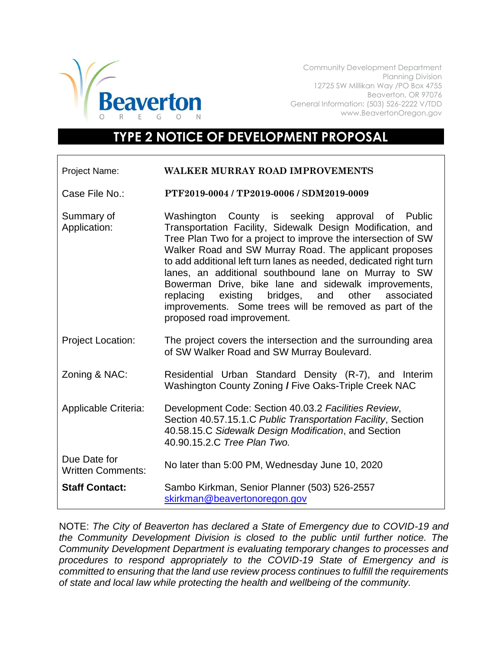

Community Development Department Planning Division 12725 SW Millikan Way /PO Box 4755 Beaverton, OR 97076 General Information: (503) 526-2222 V/TDD www.BeavertonOregon.gov

## **TYPE 2 NOTICE OF DEVELOPMENT PROPOSAL**

| <b>Project Name:</b> |  | <b>WALKER MURRAY ROAD IMPROVEMENTS</b> |
|----------------------|--|----------------------------------------|

Case File No.: **PTF2019-0004 / TP2019-0006 / SDM2019-0009**

- Summary of Application: Washington County is seeking approval of Public Transportation Facility, Sidewalk Design Modification, and Tree Plan Two for a project to improve the intersection of SW Walker Road and SW Murray Road. The applicant proposes to add additional left turn lanes as needed, dedicated right turn lanes, an additional southbound lane on Murray to SW Bowerman Drive, bike lane and sidewalk improvements, replacing existing bridges, and other associated improvements. Some trees will be removed as part of the proposed road improvement.
- Project Location: The project covers the intersection and the surrounding area of SW Walker Road and SW Murray Boulevard.
- Zoning & NAC: Residential Urban Standard Density (R-7), and Interim Washington County Zoning **/** Five Oaks-Triple Creek NAC
- Applicable Criteria: Development Code: Section 40.03.2 *Facilities Review*, Section 40.57.15.1.C *Public Transportation Facility*, Section 40.58.15.C *Sidewalk Design Modification*, and Section 40.90.15.2.C *Tree Plan Two.*
- Due Date for Written Comments: No later than 5:00 PM, Wednesday June 10, 2020 **Staff Contact:** Sambo Kirkman, Senior Planner (503) 526-2557 [skirkman@beavertonoregon.gov](mailto:skirkman@beavertonoregon.gov)

NOTE: *The City of Beaverton has declared a State of Emergency due to COVID-19 and the Community Development Division is closed to the public until further notice. The Community Development Department is evaluating temporary changes to processes and procedures to respond appropriately to the COVID-19 State of Emergency and is committed to ensuring that the land use review process continues to fulfill the requirements of state and local law while protecting the health and wellbeing of the community.*